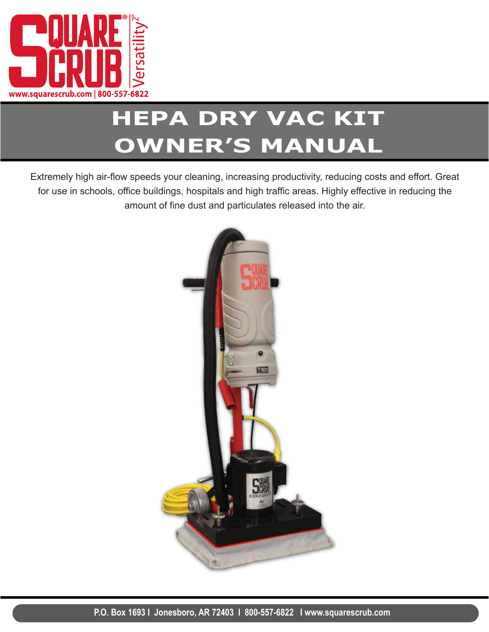

# **HEPA DRY VAC KIT OWNER'S MANUAL**

Extremely high air-flow speeds your cleaning, increasing productivity, reducing costs and effort. Great for use in schools, office buildings, hospitals and high traffic areas. Highly effective in reducing the amount of fine dust and particulates released into the air.

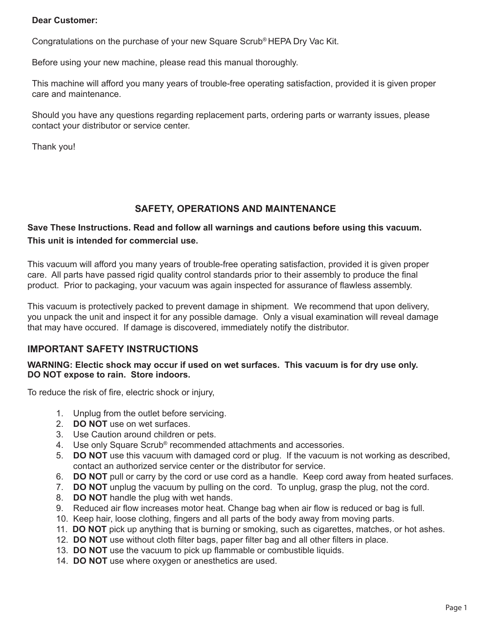#### **Dear Customer:**

Congratulations on the purchase of your new Square Scrub® HEPA Dry Vac Kit.

Before using your new machine, please read this manual thoroughly.

This machine will afford you many years of trouble-free operating satisfaction, provided it is given proper care and maintenance.

Should you have any questions regarding replacement parts, ordering parts or warranty issues, please contact your distributor or service center.

Thank you!

### **SAFETY, OPERATIONS AND MAINTENANCE**

#### **Save These Instructions. Read and follow all warnings and cautions before using this vacuum. This unit is intended for commercial use.**

This vacuum will afford you many years of trouble-free operating satisfaction, provided it is given proper care. All parts have passed rigid quality control standards prior to their assembly to produce the final product. Prior to packaging, your vacuum was again inspected for assurance of flawless assembly.

This vacuum is protectively packed to prevent damage in shipment. We recommend that upon delivery, you unpack the unit and inspect it for any possible damage. Only a visual examination will reveal damage that may have occured. If damage is discovered, immediately notify the distributor.

### **IMPORTANT SAFETY INSTRUCTIONS**

#### **WARNING: Electic shock may occur if used on wet surfaces. This vacuum is for dry use only. DO NOT expose to rain. Store indoors.**

To reduce the risk of fire, electric shock or injury,

- 1. Unplug from the outlet before servicing.
- 2. **DO NOT** use on wet surfaces.
- 3. Use Caution around children or pets.
- 4. Use only Square Scrub® recommended attachments and accessories.
- 5. **DO NOT** use this vacuum with damaged cord or plug. If the vacuum is not working as described, contact an authorized service center or the distributor for service.
- 6. **DO NOT** pull or carry by the cord or use cord as a handle. Keep cord away from heated surfaces.
- 7. **DO NOT** unplug the vacuum by pulling on the cord. To unplug, grasp the plug, not the cord.
- 8. **DO NOT** handle the plug with wet hands.
- 9. Reduced air flow increases motor heat. Change bag when air flow is reduced or bag is full.
- 10. Keep hair, loose clothing, fingers and all parts of the body away from moving parts.
- 11. **DO NOT** pick up anything that is burning or smoking, such as cigarettes, matches, or hot ashes.
- 12. **DO NOT** use without cloth filter bags, paper filter bag and all other filters in place.
- 13. **DO NOT** use the vacuum to pick up flammable or combustible liquids.
- 14. **DO NOT** use where oxygen or anesthetics are used.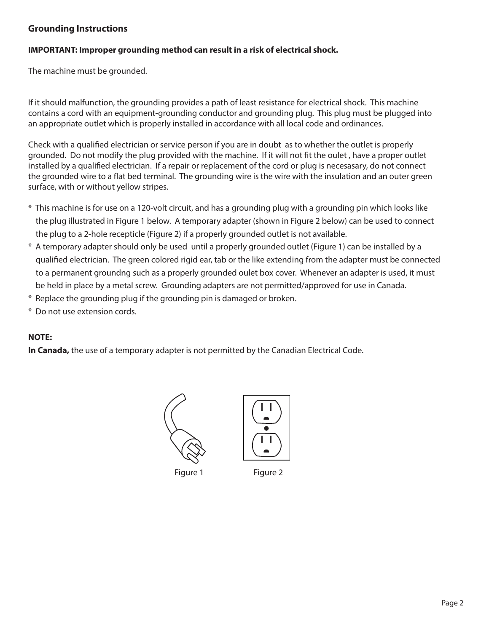#### **Grounding Instructions**

#### **IMPORTANT: Improper grounding method can result in a risk of electrical shock.**

The machine must be grounded.

If it should malfunction, the grounding provides a path of least resistance for electrical shock. This machine contains a cord with an equipment-grounding conductor and grounding plug. This plug must be plugged into an appropriate outlet which is properly installed in accordance with all local code and ordinances.

Check with a qualified electrician or service person if you are in doubt as to whether the outlet is properly grounded. Do not modify the plug provided with the machine. If it will not fit the oulet, have a proper outlet installed by a qualified electrician. If a repair or replacement of the cord or plug is necesasary, do not connect the grounded wire to a flat bed terminal. The grounding wire is the wire with the insulation and an outer green surface, with or without yellow stripes.

- \* This machine is for use on a 120-volt circuit, and has a grounding plug with a grounding pin which looks like the plug illustrated in Figure 1 below. A temporary adapter (shown in Figure 2 below) can be used to connect the plug to a 2-hole recepticle (Figure 2) if a properly grounded outlet is not available.
- \* A temporary adapter should only be used until a properly grounded outlet (Figure 1) can be installed by a qualified electrician. The green colored rigid ear, tab or the like extending from the adapter must be connected to a permanent groundng such as a properly grounded oulet box cover. Whenever an adapter is used, it must be held in place by a metal screw. Grounding adapters are not permitted/approved for use in Canada.
- \* Replace the grounding plug if the grounding pin is damaged or broken.
- \* Do not use extension cords.

#### **NOTE:**

**In Canada,** the use of a temporary adapter is not permitted by the Canadian Electrical Code.





Figure 1 Figure 2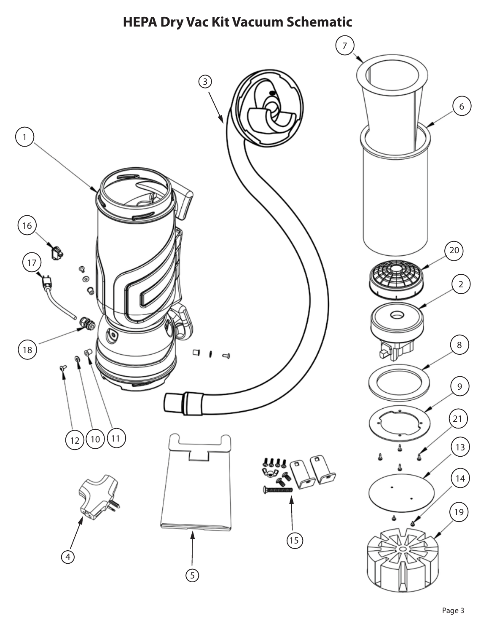# **HEPA Dry Vac Kit Vacuum Schematic**

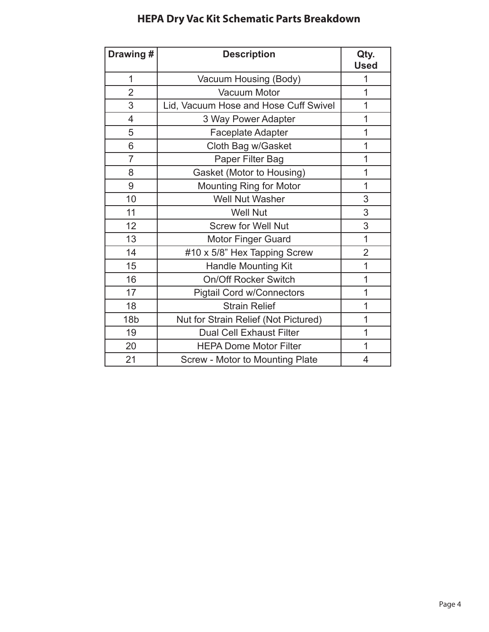## **HEPA Dry Vac Kit Schematic Parts Breakdown**

| Drawing#        | <b>Description</b>                     | Qty.<br><b>Used</b> |
|-----------------|----------------------------------------|---------------------|
| 1               | Vacuum Housing (Body)                  | 1                   |
| $\overline{2}$  | <b>Vacuum Motor</b>                    | 1                   |
| 3               | Lid, Vacuum Hose and Hose Cuff Swivel  | 1                   |
| $\overline{4}$  | 3 Way Power Adapter                    | $\mathbf 1$         |
| 5               | Faceplate Adapter                      | $\overline{1}$      |
| 6               | Cloth Bag w/Gasket                     | 1                   |
| $\overline{7}$  | Paper Filter Bag                       | 1                   |
| 8               | Gasket (Motor to Housing)              | 1                   |
| 9               | <b>Mounting Ring for Motor</b>         | 1                   |
| 10              | <b>Well Nut Washer</b>                 | 3                   |
| 11              | <b>Well Nut</b>                        | 3                   |
| 12              | <b>Screw for Well Nut</b>              | 3                   |
| 13              | <b>Motor Finger Guard</b>              | 1                   |
| 14              | #10 x 5/8" Hex Tapping Screw           | $\overline{2}$      |
| 15              | <b>Handle Mounting Kit</b>             | $\overline{1}$      |
| 16              | <b>On/Off Rocker Switch</b>            | 1                   |
| 17              | <b>Pigtail Cord w/Connectors</b>       | 1                   |
| 18              | <b>Strain Relief</b>                   | 1                   |
| 18 <sub>b</sub> | Nut for Strain Relief (Not Pictured)   | 1                   |
| 19              | <b>Dual Cell Exhaust Filter</b>        | 1                   |
| 20              | <b>HEPA Dome Motor Filter</b>          | 1                   |
| 21              | <b>Screw - Motor to Mounting Plate</b> | 4                   |